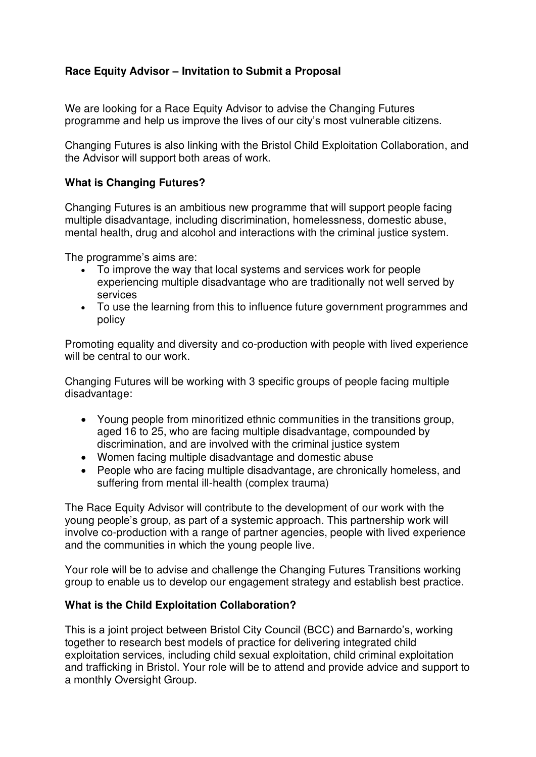# **Race Equity Advisor – Invitation to Submit a Proposal**

We are looking for a Race Equity Advisor to advise the Changing Futures programme and help us improve the lives of our city's most vulnerable citizens.

Changing Futures is also linking with the Bristol Child Exploitation Collaboration, and the Advisor will support both areas of work.

## **What is Changing Futures?**

Changing Futures is an ambitious new programme that will support people facing multiple disadvantage, including discrimination, homelessness, domestic abuse, mental health, drug and alcohol and interactions with the criminal justice system.

The programme's aims are:

- To improve the way that local systems and services work for people experiencing multiple disadvantage who are traditionally not well served by services
- To use the learning from this to influence future government programmes and policy

Promoting equality and diversity and co-production with people with lived experience will be central to our work.

Changing Futures will be working with 3 specific groups of people facing multiple disadvantage:

- Young people from minoritized ethnic communities in the transitions group, aged 16 to 25, who are facing multiple disadvantage, compounded by discrimination, and are involved with the criminal justice system
- Women facing multiple disadvantage and domestic abuse
- People who are facing multiple disadvantage, are chronically homeless, and suffering from mental ill-health (complex trauma)

The Race Equity Advisor will contribute to the development of our work with the young people's group, as part of a systemic approach. This partnership work will involve co-production with a range of partner agencies, people with lived experience and the communities in which the young people live.

Your role will be to advise and challenge the Changing Futures Transitions working group to enable us to develop our engagement strategy and establish best practice.

### **What is the Child Exploitation Collaboration?**

This is a joint project between Bristol City Council (BCC) and Barnardo's, working together to research best models of practice for delivering integrated child exploitation services, including child sexual exploitation, child criminal exploitation and trafficking in Bristol. Your role will be to attend and provide advice and support to a monthly Oversight Group.